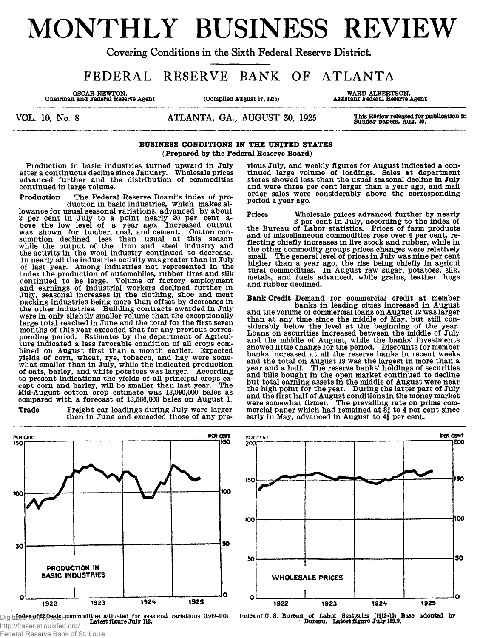# MONTHLY BUSINESS REVIEW

Covering Conditions in the Sixth Federal Reserve District.

FEDERAL RESERVE BANK OF ATLANTA

**OSOAR NEWTON. Chairman and Federal Reserve Agent (Compiled August 17, 1925) WARD ALBERTSON, Assistant Federal Reserve Agent**

VOL. 10, No. 8 ATLANTA, GA., AUGUST 30, 1925 **This Review released for publication In Sunday papers, Aug. 30.**

# **BUSINESS CONDITIONS IN THE UNITED STATES (Prepared by the Federal Reserve Board)**

**Production in basic industries turned upward in July after a continuous decline since January. Wholesale prices advanced further and the distribution of commodities continued in large volume.**

**Production The Federal Reserve Board's index of production in basic industries, which makes allowance for usual seasonal variations, advanced by about** *2* **per cent in July to a point nearly 20 per cent above the low level of a year ago. Increased output was shown for lumber, coal, and cement. Cotton consumption declined less than usual at this season while the output of the iron and steel industry and the activity in the wool industry continued to decrease. In nearly all the industries activity was greater than in July of last year. Among industries not represented in the index the production of automobiles, rubber tires and silk continued to be large. Volume of factory employment and earnings of industrial workers declined further in July, seasonal increases in the clothing, shoe and meat packing industries being more than offset by decreases in the other industries. Building contracts awarded in July were in only slightly smaller volume than the exceptionally large total reached in June and the total for the first seven months of this year exceeded that for any previous corres-ponding period. Estimates by the department of Agriculture indicated a less favorable condition of all crops combined on August first than a month earlier. Expected yields of corn, wheat, rye, tobacco, and hay were somewhat smaller than in July, while the indicated production of oats, barley, and white potatoes was larger. According to present indications the yields of all principal crops except corn and barley, will be smaller than last year. The Mid-August cotton crop estimate was 13,990,000 bales as compared with a forecast of 13,566,000 bales on August 1.**



**vious July, and weekly figures for August indicated a continued large volume of loadings. Sales at department stores showed less than the usual seasonal decline in July and were three per cent larger than a year ago, and mall order sales were considerably above the corresponding period a year ago.**

**Prices Wholesale prices advanced further by nearly 2 per cent in July, according to the index of the Bureau of Labor statistics. Prices of farm products and of miscellaneous commodities rose over 4 per cent, reflecting chiefly increases in live stock and rubber, while in the other commodity groups prices changes were relatively small. The general level of prices in July was nine per cent higher than a year ago, the rise being chiefly in agricul tural commodities. In August raw sugar, potatoes, silk, metals, and fuels advanced, while grains, leather, hogs and rubber declined.**

**Bank Credit Demand for commercial credit at member banks in leading cities increased in August and the volume of commercial loans on August** *12* **was larger than at any time since the middle of May, but still considerably below the level at the beginning of the year. Loans on securities increased between the middle of July and the middle of August, while the banks' investments showed little change for the period. Discounts for member banks increased at all the reserve banks in recent weeks and the total on August 19 was the largest in more than a year and a half. The reserve banks\* holdings of securities and bills bought in the open market continued to decline but total earning assets in the middle of August were near the high point for the year. During the latter part of July and the first half of August conditions in the money market were somewhat firmer. The prevailing rate on prime com-mercial paper which had remained at 3i to 4 per cent since early in May, advanced in August to 4} per cent.**







Index of U.S. Bureau of Labor Statistics (1913-10) Base adopted by **Bureau.** Latest figure July 159.9.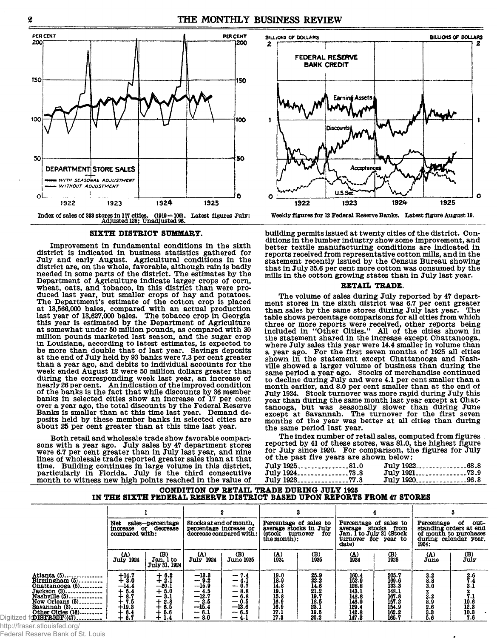

#### **SIXTH DISTRICT SUMMARY.**

**Improvement in fundamental conditions in the sixth district is indicated in business statistics gathered for July and early August. Agricultural conditions in the district are, on the whole, favorable, although rain is badly needed in some parts of the district. The estimates by the Department of Agriculture indicate larger crops of corn, wheat, oats, and tobacco, in this district than were produced last year, but smaller crops of hay and potatoes. The Department's estimate of the cotton crop is placed at 13,566,000 bales, compared with an actual production last year of 13,627,000 bales. The tobacco crop in Georgia this year is estimated by the Department of Agriculture at somewhat under 50 million pounds, as compared with 30 million pounds marketed last season, and the sugar crop in Louisiana, according to latest estimates, is expected to be more than double that of last year. Savings deposits at the end of July held by 93 banks were 7.3 per cent greater than a year ago, and debits to individual accounts for the week ended August 12 were 50 million dollars greater than during the corresponding week last year, an increase of nearly 26 per cent. An indication of the improved condition of the banks is the fact that while discounts by 36 member banks in selected cities show an increase of 17 per cent over a year ago, the total discounts by the Federal Reserve Banks is smaller than at this time last year. Demand deposits held by these member banks in selected cities are about 25 per cent greater than at this time last year.**

**Both retail and wholesale trade show favorable comparisons with a year ago. July sales by 47 department stores were 6.7 per cent greater than in July last year, and nine lines of wholesale trade reported greater sales than at that time. Building continues in large volume in this district, particularly in Florida. July is the third consecutive month to witness new high points reached in the value of**



**Weekly figures for 12 Federal Reserve Banks. Latest figure August 19.**

**building permits issued at twenty cities of the district. Conditions in the lumber industry show some improvement, and better textile manufacturing conditions are indicated in reports received from representative cotton mills, and in the statement recently issued by the Census Bureau showing that in July 35.6 per cent more cotton was consumed by the mills in the cotton growing states than in July last year.**

# **RETAIL TRADE.**

**The volume of sales during July reported by 47 department stores in the sixth district was 6.7 per cent greater than sales by the same stores during July last year. The table shows percentage comparisons for all cities from which three or more reports were received, other reports being included in "Other Cities." All of the cities shown in the statement shared in the increase except Chattanooga, where July sales this year were 14.4 smaller in volume than a year ago. For the first seven months of 1925 all cities shown in the statement except Chattanooga and Nashville showed a larger volume of business than during the same period a year ago. Stocks of merchandise continued to decline during July and were 4.1 per cent smaller than a month earlier, and 8.0 per cent smaller than at the end of July 1924. Stock turnover was more rapid during July this year than during the same month last year except at Chattanooga, but was seasonally slower than during June except at Savannah. The turnover for the first seven months of the year was better at all cities than during the same period last year.**

**The index number of retail sales, computed from figures reported by 41 of these stores, was 81.0, the highest figure for July since 1920. For comparison, the figures for July of the past five years are shown below:**

| $July 1925$ 81.0 | July 192268.8 |  |
|------------------|---------------|--|
| July 192473.8    |               |  |
| July 192377.3    | July 192096.3 |  |

# **CONDITION OF RETAIL TRADE DURING JULY 1926 IN THE SIXTH FEDERAL RESERVE DISTRICT BASED UPON REPORTS FROM 47 STORES**

|                                                                                                                                                                                       | Net sales-percentage<br>increase or decrease<br>compared with:                |                                                                                     | Stocks at end of month.<br>percentage increase or                                          | decrease compared with:                                                              | Percentage of sales to<br>average stocks in July<br>(stock<br>the month): | turnover<br>for                                                                   | Percentage of sales to<br>average<br>Jan. $\overline{1}$ to July 31 (Stock<br>turnover for year to<br>date) | stocks<br>from                                                                | Percentage<br>during calendar year.<br>1924:                                        | out-<br>ot<br>standing orders at end<br>of month to purchases                                 |
|---------------------------------------------------------------------------------------------------------------------------------------------------------------------------------------|-------------------------------------------------------------------------------|-------------------------------------------------------------------------------------|--------------------------------------------------------------------------------------------|--------------------------------------------------------------------------------------|---------------------------------------------------------------------------|-----------------------------------------------------------------------------------|-------------------------------------------------------------------------------------------------------------|-------------------------------------------------------------------------------|-------------------------------------------------------------------------------------|-----------------------------------------------------------------------------------------------|
|                                                                                                                                                                                       | (A)<br><b>July 1924</b>                                                       | (B)<br>Jan. 1 to<br>July 31, 1924                                                   | $({\bf A})$<br><b>July 1924</b>                                                            | (B)<br><b>June 1925</b>                                                              | $(A)$<br>1924                                                             | $_{1925}^{(B)}$                                                                   | $^{(A)}_{1924}$                                                                                             | $\binom{1}{1925}$                                                             | (A)<br>June                                                                         | $\begin{smallmatrix}\n(B) \\ July\n\end{smallmatrix}$                                         |
| Atlanta (5)<br>$Birmingham(5)$<br>$Onattanooga(5)$<br>$Jackson (3)$<br>Nashville (5)<br>New Orleans (5)<br>Savannah (3)<br>Other Oities (16)<br>fo <b>disfrice</b> R(47)<br>Digitized | $+14.7$<br>$+3.0$<br>$-14.4$<br>$+5.4$<br>8.7<br>7.5<br>$+19.3$<br>6.4<br>6.7 | $+ 6.2$<br>+ 2.1<br>$-20.1$<br>$+6.0$<br>3.1<br>--<br>2.8<br>∸<br>6.5<br>5.6<br>1.4 | $-13.3$<br>$-9.2$<br>$-15.9$<br>$-4.5$<br>$-12.7$<br>$-2.5$<br>$-15.4$<br>$-6.1$<br>$-8.0$ | $-7.4$<br>- 4.1<br>$-0.7$<br>$-8.8$<br>$-6.8$<br>$-0.5$<br>$-13.6$<br>- 6.5<br>- 4.1 | 19.0<br>18.9<br>14.8<br>19.1<br>15.8<br>16.9<br>16.9<br>17.1<br>17.3      | $\substack{25.9 \\ 22.2}$<br>14.6<br>21.2<br>19.7<br>19.5<br>23.1<br>19.5<br>20.2 | 160.4<br>152.9<br>128.8<br>143.1<br>148.8<br>146.0<br>129.4<br>142.8<br>147.2                               | 205.7<br>169.6<br>133.3<br>148.1<br>167.8<br>157.2<br>154.9<br>162.2<br>165.7 | $\begin{array}{c} 3.2 \\ 8.8 \\ 3.0 \end{array}$<br>2.2<br>8.9<br>2.6<br>3.3<br>5.6 | 2.6<br>$\frac{7.4}{3.1}$<br>$\begin{array}{c} 7.1 \\ 10.6 \\ 12.3 \\ 10.3 \\ 7.6 \end{array}$ |

http://fraser.stlouisfed.org/

Federal Reserve Bank of St. Louis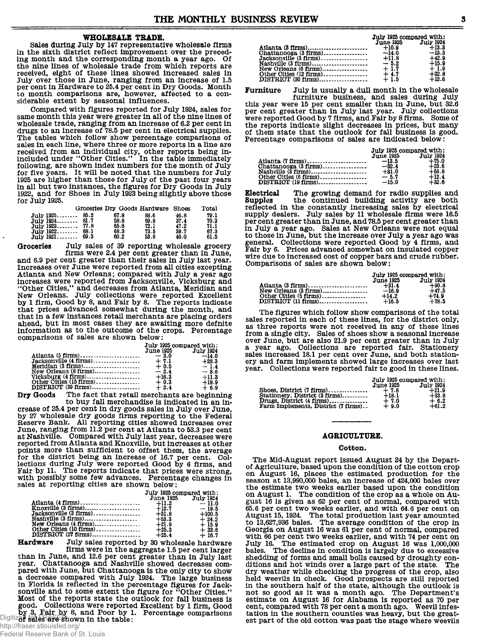# WHOLESALE TRADE.

Sales during July by 147 representative wholesale firms in the sixth district reflect improvement over the preceding month and the corresponding month a year ago. Of the nine lines of wholesale trade from which reports are the line lines of wholesal hade from which reports are forested, eight of these lines showed increased sales in July over those in June, ranging from an increase of 1.5 per cent in Hardware to 25.4 per cent in Dry Goods. M

Compared with figures reported for July 1924, sales for same month this year were greater in all of the nine lines of sum increase of 6.2 per cent in drugs to an increase of 78.5 per cent in drugs to an increase of 78.5 per cent in electrical supplies. The tables which follow show percentage comparisons of sales in each line, where three or more reports in a line are received from an individual city, other reports being in-<br>included under "Other Cities." In the table immediately following, are shown index numbers for the month of July for five years. It will be noted that the numbers for July 1925 are higher than those for July of the past four years in all but two instances, the figures for Dry Goods in July<br>1922, and for Shoes in July 1923 being slightly above those for July 1925.

|               | Groceries Dry Goods Hardware Shoes |      |      | Total |  |
|---------------|------------------------------------|------|------|-------|--|
| uly 1925 85.2 | 67.8                               | 88.6 | 46.8 | 79.1  |  |
| uly 1924 81.7 | 58.8                               | 69.8 | 37.4 | 70.3  |  |
| uly 1923 77.8 | 65.6                               | 72.1 | 47.2 | 71.1  |  |
| uly 1922.     | 68.3                               | 73.5 | 39.7 | 67.3  |  |
| uly 1921      | 60.2                               | 53.8 | 40.0 | 61.5  |  |

Groceries July sales of 39 reporting wholesale grocery

firms were 2.4 per cent greater than in June. and 6.9 per cent greater than their sales in July last year. Increases over June were reported from all cities excepting Atlanta and New Orleans; compared with July a year ago increases were reported from Jacksonville, Vicksburg and increases were reported in the Membership and<br>
"Other Clies," and decreases from Atlanta, Meridian and<br>
New Orleans. July collections were reported Excellent<br>
by 1 firm, Good by 8, and Fair by 8. The reports indicate<br>
that that in a few instances retail merchants are placing orders ahead, but in most cases they are awaiting more defnite information as to the outcome of the crops. Percentage comparisons of sales are shown below:

|                                   | July 1925 compared with:<br>June 1925 July 1924 |         |  |
|-----------------------------------|-------------------------------------------------|---------|--|
|                                   |                                                 |         |  |
|                                   |                                                 |         |  |
|                                   |                                                 | $+28.3$ |  |
|                                   |                                                 | $-1.4$  |  |
|                                   |                                                 | $-8.6$  |  |
|                                   | $+16.3$                                         | $+11.3$ |  |
| Other Cities $(15 \text{ firms})$ | $+0.3$                                          | $+19.9$ |  |
|                                   | $+2.4$                                          | $+6.9$  |  |

The fact that retail merchants are beginning Dry Goods to buy fall merchandise is indicated in an increase of 25.4 per cent in dry goods sales in July over June,<br>by 27 wholesale dry goods firms reporting to the Federal<br>Reserve Bank. All reporting cities showed increases over June, ranging from 11.2 per cent at Atlanta to 53.3 per cent<br>at Nashville. Compared with July last year, decreases were reported from Atlanta and Knoxville, but increases at other points more than sufficient to offset them, the average for the district being an increase of 16.7 per cent. Collections during July were reported Good by 6 firms, and Fair by 11. The reports indicate that prices were strong, with possibly some few advances. Percentage changes in sales at reporting cities are shown below:

|                         | July 1925 compared with: |          |  |
|-------------------------|--------------------------|----------|--|
|                         | June 1925 July 1924      |          |  |
|                         |                          |          |  |
|                         |                          |          |  |
|                         |                          | $+100.5$ |  |
|                         |                          | $+24.2$  |  |
|                         | $+21.9$                  | $+15.9$  |  |
| Other Oities (10 firms) | $+25.3$                  | $+33.6$  |  |
|                         | $+25.4$                  | $+16.7$  |  |

Hardware July sales reported by 30 wholesale hardware firms were in the aggregate 1.5 per cent larger

than in June, and 12.6 per cent greater than in July last<br>year. Chattanooga and Nashville showed decreases compared with June, but Chattanooga is the only city to show<br>a decrease compared with July 1924. The large business in Florida is reflected in the percentage figures for Jacksonville and to some extent the figure for "Other Cities." Most of the reports state the outlook for fall business is good. Collections were reported Excellent by 1 firm, Good by 3, Fair by 8, and Poor by 1. Percentage comparisons Digitizer sales are shown in the table:

| July 1925 compared with: |         |  |
|--------------------------|---------|--|
| June 1925 July 1924      |         |  |
|                          |         |  |
|                          | $-13.3$ |  |
|                          | $+42.9$ |  |
|                          | $+15.9$ |  |
|                          | $+1.9$  |  |
|                          | $+32.8$ |  |
|                          | $+12.6$ |  |

Furniture July is usually a dull month in the wholesale

furniture business, and sales during July this year were 15 per cent smaller than in June, but 32.6 per cent greater than in July last year. July collections<br>were reported Good by 7 firms, and Fair by 8 firms. Some of the reports indicate slight decreases in prices, but many of them state that the outlook for fall business is good. Percentage comparisons of sales are indicated below:

|                        | July 1925 compared with: |           |  |
|------------------------|--------------------------|-----------|--|
|                        | <b>June 1925</b>         | July 1924 |  |
|                        |                          | $+75.0$   |  |
|                        |                          | $+23.6$   |  |
|                        | $+31.0$                  | $+56.8$   |  |
| Other Oitles (6 firms) | $-5.7$                   | $+12.4$   |  |
|                        |                          | $+32.6$   |  |

Electrical The growing demand for radio supplies and Supples the continued building activity are both<br>reflected in the constantly increasing sales by electrical supply dealers. July sales by 11 wholesale firms were 16.5 per cent greater than in June, and 78.5 per cent greater than<br>in July a year ago. Sales at New Orleans were not equal to those in June, but the increase over July a year ago was general. Collections were reported Good by 4 firms, and Fair by 6. Prices advanced somewhat on insulated copper wire due to increased cost of copper bars and crude rubber. Comparisons of sales are shown below:

| July 1925 compared with: |                  |  |
|--------------------------|------------------|--|
| June 1925                | <b>July 1924</b> |  |
| $+31.4$                  | $+90.8$          |  |
|                          | $+47.5$          |  |
| $+14.2$                  | $+74.9$          |  |
| $+16.5$                  | $+78.5$          |  |

The figures which follow show comparisons of the total sales reported in each of these lines, for the district only, as three reports were not received in any of these lines from a single city. Sales of shoes show a seasonal increase over June, but are also 21.9 per cent greater than in July a year ago. Collections are reported fair. Stationery sales increased 18.1 per cent over June, and both stationery and farm implements showed large increases over last year. Collections were reported fair to good in these lines.

|                                     | July 1925 compared with: |                  |  |
|-------------------------------------|--------------------------|------------------|--|
|                                     | <b>June 1925</b>         | <b>July 1924</b> |  |
| Shoes. District $(7 \text{ firms})$ | $+7.8$                   | $+21.9$          |  |
| Stationery. District (3 firms)      | $+18.1$                  | $+33.8$          |  |
| Drugs. District (4 firms)           | $+7.0$                   | $+6.2$           |  |
| Farm Implements. District (7 firms) | $+9.0$                   | $+61.2$          |  |

#### AGRICULTURE.

#### Cotton.

The Mid-August report issued August 24 by the Departof Agriculture, based upon the condition of the cotton crop on August 16, places the estimated production for the season at 13,990,000 bales, an increase of 424,000 bales over the estimate two weeks earlier based upon the condition<br>on August 1. The condition of the crop as a whole on August 16 is given as 62 per cent of normal, compared with gas for cent two weeks earlier, and with 64.6 per cent on<br>65.6 per cent two weeks earlier, and with 64.6 per cent on<br>August 15, 1924. The total production last year amounted<br>to 13,627,936 bales. The average condition of th with 66 per cent two weeks earlier, and with 74 per cent on July 16. The estimated crop on August 16 was 1,000,000 bales. The decline in condition is largely due to excessive shedding of forms and small bolls caused by droughty conditions and hot winds over a large part of the state. The dry weather while checking the progress of the crop, also held weevils in check. Good prospects are still reported<br>in the southern half of the state, although the outlook is not so good as it was a month ago. The Department's estimate on August 16 for Alabama is reported as 70 per cent, compared with 78 per cent a month ago. Weevil infestation in the southern counties was heavy, but the greatest part of the old cotton was past the stage where weevils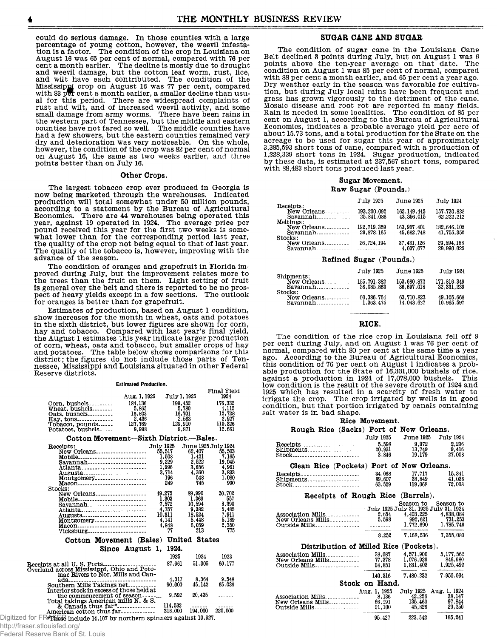**could do serious damage. In those counties with a large percentage of young cotton, however, the weevil infesta-tion is a factor. The condition of the crop in Louisiana on August 16 was 65 per cent of normal, compared with 76 per cent a month earlier. The decline is mostly due to drought and weevil damage, but the cotton leaf worm, rust, lice, and wilt have each contributed. The condition of the Mississippi crop on August 16 was 77 per cent, compared with 83 pfr cent a month earlier, a smaller decline than usual for this period. There are widespread complaints of rust and wilt, and of increased weevil activity, and some small damage from army worms. There have been rains in the western part of Tennessee, but the middle and eastern counties have not fared so well. The middle counties have had a few showers, but the eastern counties remained very dry and deterioration was very noticeable. On the whole, however, the condition of the crop was 82 per cent of normal on August 16, the same as two weeks earlier, and three points better than on July 16.**

#### **Other Crops.**

**The largest tobacco crop ever produced in Georgia is now being marketed through the warehouses. Indicated production will total somewhat under 50 million pounds, according to a statement by the Bureau of Agricultural Economics. There are 44 warehouses being operated this year, against 19 operated in 1924. The average price per pound received this year for the first two weeks is somewhat lower than for the corresponding period last year, the quality of the crop not being equal to that of last year. The quality of the tobacco is, however, improving with the advance of the season.**

**The condition of oranges and grapefruit in Florida improved during July, but the improvement relates more to the trees than the fruit on them. Light setting of fruit** is general over the belt and there is reported to be no pros**pect of heavy yields except in a few sections. The outlook for oranges is better than for grapefruit.**

**Estimates of production, based on August 1 condition, show increases for the month in wheat, oats and potatoes in the sixth district, but lower figures are shown for corn, hay and tobacco. Compared with last year's final yield, the August 1 estimates this year indicate larger production of corn, wheat, oats and tobacco, but smaller crops of hay and potatoes. The table below shows comparisons for this district; the figures do not include those parts of Tennessee, Mississippi and Louisiana situated in other Federal Reserve districts.**

|                                                                                       | <b>Estimated Production.</b> |                  |                     |             |
|---------------------------------------------------------------------------------------|------------------------------|------------------|---------------------|-------------|
|                                                                                       |                              |                  |                     | Final Yield |
|                                                                                       | Aug. 1, 1925                 | July 1, 1925     |                     | 1924        |
| $Oorn.$ bushels                                                                       | 184,136                      | 199,452          |                     | 176.332     |
| Wheat. bushels                                                                        | 5.865                        | 5,780            |                     | 4.112       |
| $Oats.$ bushels                                                                       | 16,803                       | 16,701           |                     | 12.728      |
| $\text{Hay.}$ tons                                                                    | 2,436                        | 2.563            |                     | 2.927       |
| Tobacco, pounds                                                                       | 127,769                      | 129.910          |                     | 110,326     |
| Potatoes, bushels                                                                     | 9.998                        | 9.871            |                     | 12,661      |
| Cotton Movement—Sixth District.—Bales.                                                |                              |                  |                     |             |
| Receipts:                                                                             |                              | <b>July 1925</b> | June 1925 July 1924 |             |
| New Orleans                                                                           |                              | 55,517           | 62,407              | 55,503      |
| Mobile                                                                                |                              | 1.508            | 1.421               | 7.165       |
| Savannah                                                                              |                              | 9.229            | 2.522               | 19.045      |
| Atlanta                                                                               |                              | 1,996            | 3,656               | 4,961       |
| Augusta                                                                               |                              | 3.714            | 4.360               | 3.833       |
| Montgomery                                                                            |                              | 196              | 548                 | 1,080       |
| Macon                                                                                 |                              | 249              | 745                 | 990         |
| Stocks:                                                                               |                              |                  |                     |             |
| New Orleans                                                                           |                              | 49.275           | 89.990              | 50,702      |
| Mobile                                                                                |                              | 1.303            | 1.369               | 557         |
| $Savannah$                                                                            |                              | 7.572            | 10.594              | 8.390       |
| Atlanta                                                                               |                              | 4,757            | 9,382               | 5.485       |
| Augusta                                                                               |                              | 10.311           | 18.524              | 7.911       |
| Montgomery                                                                            |                              | 4.141            | 5,448               | 5.189       |
| Macon                                                                                 |                              | 4.848            | 6.059               | 2,350       |
| Vicksburg                                                                             |                              | 77               | 213                 | 775         |
|                                                                                       |                              |                  |                     |             |
| Cotton Movement (Bales) United States                                                 |                              |                  |                     |             |
|                                                                                       | Since August 1.              | 1924.            |                     |             |
|                                                                                       |                              | 1925             | 1924                | 1923        |
| Receipts at all U.S. Ports                                                            |                              | 87.961           | 51,305              | 60.177      |
| Overland across Mississippi, Ohio and Poto-                                           |                              |                  |                     |             |
| mac Rivers to Nor. Mills and Can-                                                     |                              |                  |                     |             |
| ada                                                                                   |                              | 4,317            | 8.364               | 9.548       |
| Southern Mills Takings net                                                            |                              | 90.000           | 45.142              | 65.036      |
| Interior stock in excess of those held at                                             |                              |                  |                     |             |
| the commencement of season                                                            |                              | 9,592            | 20.435              |             |
| Total takings American mills N. & S.                                                  |                              |                  |                     |             |
| & Canada thus far <sup>#</sup>                                                        |                              | 114,532          |                     |             |
| American cotton thus far                                                              |                              | 318,000          | 194,000             | 220,000     |
| Digitized for $\mathsf{FRF}$ hese include 14,107 by northern spinners against 10,927. |                              |                  |                     |             |
|                                                                                       |                              |                  |                     |             |

# http://fraser.stlouisfed.org/

Federal Reserve Bank of St. Louis

# **SUGAR CANE AND SUGAR**

**The condition of sugar cane in the Louisiana Cane Belt declined 3 points during July, but on August 1 was 6 points above the ten-year average on that date. The condition on August 1 was 85 per cent of normal, compared with 88 per cent a month earlier, and 65 per cent a year ago. Dry weather early in the season was favorable for cultivation, but during July local rains have been frequent and grass has grown vigorously to the detriment of the cane. Mosaic disease and root rot are reported in many fields. Rain is needed in some localities. The condition of 85 per cent on August 1, according to the Bureau of Agricultural Economics, indicates a probable average yield per acre of about 15.73 tons, and a total production for the State on the acreage to be used for sugar this year of approximately 3,385,593 short tons of cane, compared with a production of 1,228,339 short tons in 1924. Sugar production, indicated by these data, is estimated at 237,567 short tons, compared with 88,483 short tons produced last year.**

# **Sugar Movement. Raw Sugar (Pounds.)**

|                                                               | July 1925                 | <b>June 1925</b>          | July 1924                 |
|---------------------------------------------------------------|---------------------------|---------------------------|---------------------------|
| Receipts:<br>New Orleans<br>Meltings:                         | 193,200,092<br>25,841,088 | 162.149.445<br>43,356,015 | 157,730,828<br>62,222,212 |
| New Orleans<br>$Savannah$ <sub>-------------</sub><br>Stocks: | 192,719,359<br>29,878,165 | 163,907,401<br>45.682.748 | 182.646.105<br>41,755,350 |
| New Orleans                                                   | 26,724,194                | 37.431.126<br>4.037.077   | 29,594,188<br>29,990.025  |

# **Refined Sugar (Pounds.)**

| Shipments:          | July 1925                 | <b>June 1925</b>          | July 1924                   |
|---------------------|---------------------------|---------------------------|-----------------------------|
| Savannah<br>Stocks: | 185.791.382<br>36.085.863 | 153.680.872<br>36.697.018 | 171.816.349<br>32, 331, 239 |
| New Orleans         | 60.386.764<br>1.363.475   | 63.710.823<br>14.043.627  | 49, 105, 668<br>10.965.597  |

# **RICE.**

**The condition of the rice crop in Louisiana fell off 9 per cent during July, and on August 1 was 76 per cent of normal, compared with 80 per cent at the same time a year ago. According to the Bureau of Agricultural Economics, this condition of 76 per cent on August 1 indicates a probable production for the State of 16,331,000 bushels of rice,** against a production in 1924 of 17,078,000 bushels. **low condition is the result of the severe drouth of 1924 and 1925 which has resulted in a scarcity of fresh water to irrigate the crop. The crop irrigated by wells is in good condition, but that portion irrigated by canals containing salt water is in bad shape.**

#### **Rice Movement.**

#### **Rough Rice (Sacks) Port of New Orleans.**

|                                                | July 1925      | June 1925 | <b>July 1924</b>                      |
|------------------------------------------------|----------------|-----------|---------------------------------------|
| Receipts                                       | 5,598          | 9.972     | 2.236                                 |
| Shipments                                      | 20,931         | 13.749    | 9.416                                 |
|                                                | 3.846          | 19.179    | 27,008                                |
| Clean Rice (Pockets) Port of New Orleans.      |                |           |                                       |
| $\text{Receipts}$                              | 34,068         | 17,717    | 15.341                                |
| $Shipments \ldots \ldots \ldots \ldots \ldots$ | 89,607         | 38,849    | 41,036                                |
| Stock                                          | 63.529         | 119.068   | 72.008                                |
| Receipts of Rough Rice (Barrels).              |                |           |                                       |
|                                                |                | Season to | Season to                             |
|                                                |                |           | July 1925 July 31, 1925 July 31, 1924 |
| Association Mills                              | 2.654          | 4,403,225 | 4,838,084                             |
| New Orleans Mills                              | 5,598          | 992,621   | 731.253                               |
|                                                | .              | 1,772,690 | 1,785,746                             |
|                                                | 8.252          | 7.168.536 | 7,355,083                             |
| Distribution of Milled Rice (Pockets).         |                |           |                                       |
| Association Mills                              | 38,087         | 4.571.900 | 5.177.562                             |
| New Orleans Mills                              | 77,378         | 1,076,929 | 846.980                               |
|                                                | 24.851         | 1,831,403 | 1,925,492                             |
|                                                | 140.316        | 7,480,232 | 7.950.034                             |
|                                                | Stock on Hand. |           |                                       |
|                                                | Aug. 1, 1925   | July 1925 | Aug. 1, 1924                          |
| Association Mills                              | 8,136          | 42,256    | 38,147                                |
| New Orleans Mills                              | 66,191         | 135.460   | 97,844                                |
| Outside Mills                                  | 21,100         | 45.826    | 29,250                                |
|                                                | 95.427         | 223.542   | 165.241                               |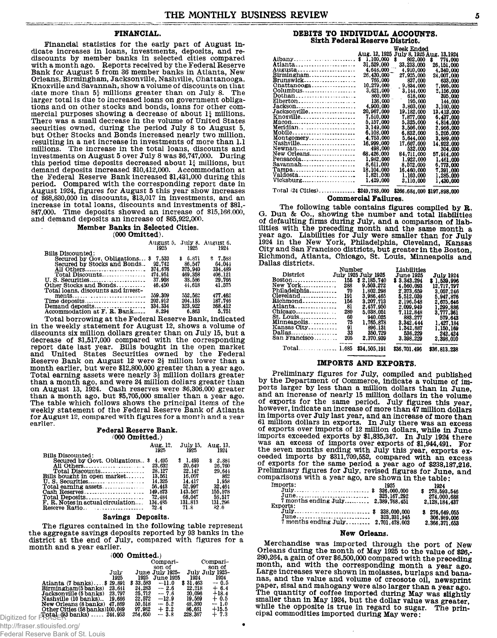# **FINANCIAL.**

**Financial statistics for the early part of August indicate increases in loans, investments, deposits, and re-discounts by member banks in selected cities compared with a month ago. Reports received by the Federal Reserve Bank for August 5 from 36 member banks in Atlanta, New Orleans, Birmingham, Jacksonville, Nashville, Chattanooga, Knoxville and Savannah, show a volume of discounts on that date more than 5| millions greater than on July 8. The larger total is due to increased loans on government obligations and on other stocks and bonds, loans for other commercial purposes showing a decrease of about 1| millions. There was a small decrease in the volume of United States securities owned, during the period July 8 to August 5, but Other Stocks and Bonds increased nearly two million, resulting in a net increase in investments of more than 1.1 millions. The increase in the total loans, discounts and investments on August 5 over July 8 was \$6,747,000. During this period time deposits decreased about 1{ millions, but demand deposits increased \$10,412,000. Accommodation at the Federal Reserve Bank increased \$1,431,000 during this period. Compared with the corresponding report date in August 1924, figures for August 5 this year show increases of \$68,830,000 in discounts, \$13,017 in investments, and an increase in total loans, discounts and investments of \$81,- 847,000. Time deposits showed an increase of \$15,166,000, and demand deposits an increase of \$65,922,000.**

# **Member Banks in Selected Cities.**

**(000 Omitted).**

|                                    | 1925    | 1925     | August 5. July 8. August 6.<br>1924 |
|------------------------------------|---------|----------|-------------------------------------|
| Bills Discounted:                  |         |          |                                     |
| Secured by Gov. Obligations \$     | 7.533   | \$ 6.871 | \$7.583                             |
| Secured by Stocks and Bonds        | 92.742  | 86.547   | 64.044                              |
| All Others                         | 374.676 | 375.940  | 334.489                             |
| Total Discounts                    | 474.951 | 469.358  | 406.121                             |
| U. S. Securities                   | 37.908  | 38.586   | 29.766                              |
| Other Stocks and Bonds             | 46.450  | 44.618   | 41.575                              |
| Total loans, discounts and invest- |         |          |                                     |
| ments                              | 559.309 | 552,562  | 477.462                             |
|                                    | 202.912 | 204.153  | 187.746                             |
| Demand deposits                    | 334,334 | 323.922  | 268,412                             |
| Accommodation at F. R. Bank        | 8.294   | 6.863    | 5.751                               |

**Total borrowing at the Federal Reserve Bank, indicated in the weekly statement for August 12, shows a volume of discounts six million dollars greater than on July 15, but a decrease of \$1,517,000 compared with the corresponding report date last year. Bills bought in the open market and United States Securities owned by the Federal Reserve Bank on August 12 were 2J million lower than a month earlier, but were \$12,800,000 greater than a year ago.** Total earning assets were nearly 3<sup>1</sup> million dollars greater **than a month ago, and were 24 million dollars greater than on August 13, 1924. Cash reserves were \$6,306,000 greater than a month ago, but \$5,705,000 smaller than a year ago. The table which follows shows the principal items of the weekly statement of the Federal Reserve Bank of Atlanta for August 12, compared with figures for a month and a year earlier.**

#### **Federal Reserve Bank. 000 Omitted.)**

|                                   | Aug. 12.<br>1925 | July 15.<br>1925 | Aug. 13.<br>1924 |
|-----------------------------------|------------------|------------------|------------------|
| <b>Bills Discounted:</b>          |                  |                  |                  |
| Secured by Govt. Obligations \$   | 4.495            | \$1.493          | \$2.884          |
| All Others                        | 23,632           | 20.649           | 26.760           |
| Total Discounts                   | 28.127           | 22.142           | 29.644           |
| Bills bought in open market       | 13.561           | 16.007           | 862              |
|                                   | 14.325           | 14.417           | 1.958            |
|                                   | 56,443           | 52.997           | 32.464           |
|                                   | 149.873          | 143.567          | 155.578          |
| Total Deposits                    | 72.484           | 68.047           | 58.517           |
| F. R. Notes in actual circulation | 134.485          | 131.813          | 131.296          |
|                                   | 72.4             | 71.8             | 82.0             |

# **Savings Deposits.**

**The figures contained in the following table represent the aggregate savings deposits reported by 93 banks in the district at the end of July, compared with figures for a month and a year earlier.**

| $(000 \text{ Omitted.})$ |  |
|--------------------------|--|
|                          |  |

|                                                      |        |          | Compari-         |          | Compari-        |
|------------------------------------------------------|--------|----------|------------------|----------|-----------------|
|                                                      |        |          | son of           |          | son of          |
|                                                      | July   |          | June July 1925-  |          | July July 1925- |
|                                                      | 1925   | 1925     | <b>June 1925</b> | 1924     | 1924            |
| Atlanta (7 banks) \$29,891                           |        | \$33.583 | $-11.0$          | \$31,463 | $-0.5$          |
| Birmingham(5 banks)                                  | 23.641 | 24,283   | $-2.6$           | 22,218   | $+6.4$          |
| Jacksonville (5 banks)                               | 23.797 | 25.712   | $-7.6$           | 20.096   | $+18.4$         |
| Nashville (10 banks)                                 | 19.666 | 22,572   | $-12.9$          | 19.569   | $+0.5$          |
| New Orleans (8 banks) 47.869                         |        | 50.518   | $-5.2$           | 48.360   | $-1.0$          |
| Other Cities (58 banks)100,089                       |        | 97.982   | $+2.2$           | 86,661   | $+15.5$         |
| Digitized for $F$ $(48 - 93$ banks) $\ldots$ 244,953 |        | 254,650  | $-3.8$           | 228,367  | $+7.3$          |
|                                                      |        |          |                  |          |                 |

| Federal Reserve Bank of St. Louis |  |  |  |
|-----------------------------------|--|--|--|
|-----------------------------------|--|--|--|

# **DEBITS TO INDIVIDUAL ACCOUNTS. Sixth Federal Reserve District.**

|                                        |                | Week Ended                |               |
|----------------------------------------|----------------|---------------------------|---------------|
|                                        | Aug. 12, 1925  | July 8, 1925 Aug. 13,1924 |               |
| Albany                                 | 1,100,000<br>s | S<br>802.000              | 774.000<br>s. |
| Atlanta                                | 31,529,000     | 33.233.000                | 26.151.000    |
| .augusta <i></i>                       | 4.648.000      | 4,910,000                 | 4,340,000     |
| Birmingham                             | 26,430,000     | 27,925,000                | 24.007.000    |
| <b>Brunswick</b>                       | 766.000        | 837,000                   | 633,000       |
|                                        | 10,279,000     | 9,834,000                 | 7.995.000     |
|                                        | 3,621,000      | 3,144,000                 | 2.156.000     |
|                                        | 860,000        | 618,000                   | 395,000       |
| $Elberton$                             | 136,000        | 195,000                   | 144.000       |
| Jackson                                | 4,900,000      | 3,803,000                 | 3,100,000     |
| Jacksonville                           | 20,967,000     | 19,182,000                | 13,412,000    |
| Knoxville                              | 7,510,000      | 7.877.000                 | 6,437,000     |
| Macon                                  | 5.157.000      | 5,325,000                 | 4,814,000     |
|                                        | 3,149.000      | 3.506.000                 | 2.966.000     |
| Mobile                                 | 6,103,000      | 6.832.000                 | 5.205.000     |
| Montgomery                             | 4,753,000      | 5,644,000                 | 3,889,000     |
| Nashville                              | 16,999,000     | 17.607.000                | 14.922.000    |
| Newnan                                 | 498,000        | 532,000                   | 304,000       |
| New Orleans                            | 68,426,000     | 84,711,000                | 57.914.000    |
| Pensacola                              | 1,982,000      | 1,922,000                 | 1.461.000     |
| $Savannah \ldots \ldots \ldots \ldots$ | 8.611.000      | 8.572.000                 | 6,773,000     |
| Tampa                                  | 18,104,000     | 16.460.000                | 7,391,000     |
| Valdosta                               | 1,821,000      | 1.103.000                 | 1.285.000     |
| Vicksburg                              | 1,429.000      | 2,110,000                 | 1,430.000     |
|                                        |                |                           |               |

**Total (24 Cities).................\$249,783,000 \$266,684,000 \$197,898,000 Commercial Failures.**

**The following table contains figures compiled by R. G. Dun & Co., showing the number and total liabilities of defaulting firms during July, and a comparison of liabilities with the preceding month and the same month a year ago. Liabilities for July were smaller than for July 1924 in the New York, Philadelphia, Cleveland, Kansas City and San Francisco districts, but greater in the Boston, Richmond, Atlanta, Chicago, St. Louis, Minneapolis and Dallas districts.**

|                                        |     | Number       | Liabilities  |              |
|----------------------------------------|-----|--------------|--------------|--------------|
| District July 1925 July 1925           |     |              | June 1925.   | July 1924    |
| Boston------------------               | 155 | \$2.185.740  | \$3,343,294  | \$1,539,996  |
| New York                               | 288 | 9.503.272    | 4,560,093    | 12.717.797   |
| Philadelphia                           | 70  | 1,802,298    | 2,373,659    | 3.057.246    |
| $Oleveland$                            | 191 | 3.986.465    | 5.512.039    | 5.947.876    |
| Richmond                               | 156 | 3.207.713    | 2.196.548    | 2.675.646    |
| Atlanta                                | 81  | 2.457.950    | 2.099.949    | 1,299,886    |
| $Chicago$ <sub>-----------------</sub> | 280 | 5.038.051    | 7.112.848    | 3.777,361    |
| $St.$ Louis                            | 60  | 940.025      | 883.277      | 579.643      |
| Minneapolis                            | 75  | 1.765.878    | 3.342.444    | 1.427.184    |
| Kansas City                            | 91  | 896,131      | 1,342,887    | 1.150.169    |
| Dallas                                 | 33  | 350,729      | 536,229      | 242.424      |
| $San$ Francisco                        | 205 | 2,370,939    | 3,398,229    | 2,398,010    |
|                                        |     | _________    |              | __________   |
| $Total$ $1,685$                        |     | \$34,505,191 | \$36,701,496 | \$36.813.238 |

# **IMPORTS AND EXPORTS.**

**Preliminary figures for July, compiled and published by the Department of Commerce, indicate a volume of imports larger by less than a million dollars than in June, and an increase of nearly 15 million dollars in the volume of exports for the same period. July figures this year, however, indicate an increase of more than 47 million dollars in imports over July last year, and an increase of more than 61 million dollars in exports. In July there was an excess of exports over imports of 12 million dollars, while in June imports exceeded exports by \$1,835,347. In July 1924 there was an excess of imports over exports of \$1,944,491. For the seven months ending with July this year, exports ex-ceeded imports by \$311,709,552, compared with an excess of exports for the same period a year ago of \$238,187,216. Preliminary figures for July, revised figures for June, and comparisons with a year ago, are shown in the table:**

| Imports:                                                          | 1925        | 1924<br>\$278.593.546<br>274,000,688          |
|-------------------------------------------------------------------|-------------|-----------------------------------------------|
| 7 months ending July 2,389,768,451<br>Exports:                    |             | 2.128.184.437                                 |
| July \$ 338,000,000<br>June<br>7 months ending July 2,701,478,003 | 323.331.945 | \$276.649.055<br>306,989,006<br>2.366.371.653 |

#### **New Orleans.**

**Merchandise was imported through the port of New Orleans during the month of May 1925 to the value of \$26,- 280,264, a gain of over \$6,500,000 compared with the preceding month, and with the corresponding month a year ago. Large increases were shown in molasses, burlaps and bananas, and the value and volume of creosote oil, newsprint paper, sisal and mahogany were also larger than a year ago. The quantity of coffee imported during May was slightly smaller than in May 1924, but the dollar value was greater,** while the opposite is true in regard to sugar. The prin**cipal commodities imported during May were:**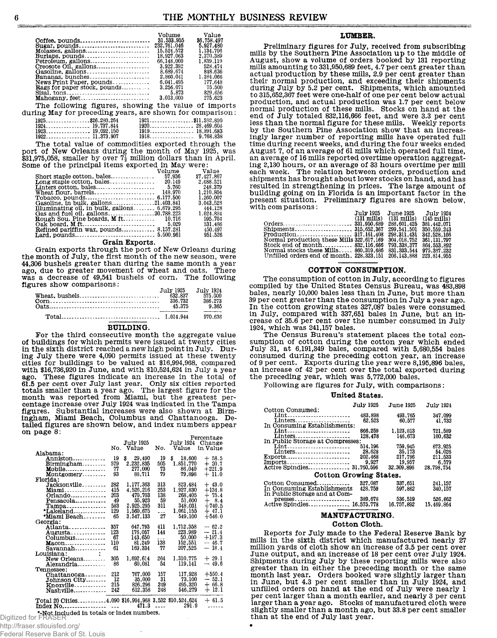|                                                                             | Volume      | Value       |
|-----------------------------------------------------------------------------|-------------|-------------|
| Ooffee, pounds                                                              | 31.533.955  | \$6,758,497 |
| Sugar, pounds                                                               | 232,761,046 | 5.927.480   |
| Molasses, gallons                                                           | 15.524.572  | 1.134.706   |
| Burlaps. pounds                                                             | 18.927.063  | 2,370,389   |
| Petroleum. gallons                                                          | 66.148.000  | 1,839,119   |
| Creosote Oil, gallons                                                       | 3.922.392   | 528.474     |
| Gasoline. gallons                                                           | 8.689.674   | 848.636     |
| Bananas, bunches                                                            | 2,860,041   | 1.384,066   |
| News Print Paper, pounds                                                    | 6.041.495   | 177.648     |
| <b>Rags for paper stock, pounds</b>                                         | 3.256.071   | - 75.500    |
| $Sisal.$ $tons \dots \dots \dots \dots \dots \dots \dots \dots \dots \dots$ | 5.873       | 829.656     |
| Mahogany, feet                                                              | 3,013,000   | 275.623     |
| The following figures, showing the value of imports                         |             |             |
| ring May for preseding years, are shown for comparison:                     |             |             |

| 1923. 19,092,150 | $1919$ $$ $18.891.683$ |  |
|------------------|------------------------|--|
| 1922 11,373,907  |                        |  |
|                  |                        |  |

The total value of commodities exported through the The would value of New Orleans during the month of May 1925, was<br>\$31,975,058, smaller by over  $7\frac{1}{2}$  million dollars than in April.<br>Some of the principal items exported in May were:

|                                                       | Volume | <b>Value</b> |
|-------------------------------------------------------|--------|--------------|
|                                                       |        | \$7,427,867  |
|                                                       |        | 2.688.521    |
|                                                       |        | 248.379      |
|                                                       |        | 1.210.804    |
|                                                       |        | 1,260,007    |
| Gasoline, in bulk, gallons21.403.841                  |        | 3.043.528    |
| Illuminating oil, in bulk, gallons 6,679,295          |        | 444.128      |
| Gas and fuel oil. gallons30.788.223                   |        | 1.024.834    |
|                                                       |        | 595.704      |
|                                                       |        | 531.486      |
| <b>Refined pariffin wax, pounds 8,157,281 450,497</b> |        |              |
|                                                       |        | 951.526      |
|                                                       |        |              |

#### Grain Exports.

Grain exports through the port of New Orleans during<br>the month of July, the first month of the new season, were 44,306 bushels greater than during the same month a year ago, due to greater movement of wheat and oats. There was a decrease of 49,541 bushels of corn. The following figures show comparisons:

| July 1925<br>632.837<br>336.732<br>45.375 | July 1924<br>575.000<br>386,273<br>9.365 |  |
|-------------------------------------------|------------------------------------------|--|
|                                           | 970.638                                  |  |

#### **BUILDING.**

For the third consecutive month the aggregate value of buildings for which permits were issued at twenty cities in the sixth district reached a new high point in July. Durin the sixted area and a fill point in July . During July there were 4,090 permits issued at these twenty<br>cities for buildings to be valued at \$16,994,968, compared<br>with \$16,736,920 in June, and with \$10,524,624 in July a ago. These figures indicate an increase in the total of 61.5 per cent over July last year. Only six cities reported totals smaller than a year ago. The largest figure for the month was reported from Miami, but the greatest tailed figures are shown below, and index numbers appear on page  $8$ :

|                                                          |     |              |           |                  | Percentage |
|----------------------------------------------------------|-----|--------------|-----------|------------------|------------|
|                                                          |     | July 1925    |           | July 1924        | Change     |
|                                                          |     | No. Value    | No.       | Value            | in Value   |
| Alabama:                                                 |     |              |           |                  |            |
| Anniston                                                 | 19  | \$<br>29,490 | 19        | \$<br>18,600     | $+58.5$    |
| $Birmingham$                                             | 579 | 2,232,835    | 505       | 1,851,770        | $+20.7$    |
| Mobile                                                   | 77  | 277,000      | 73        | 86.040           | $+221.9$   |
| Montgomery                                               | 93  | 88.711       | 79        | 79.898<br>$\sim$ | $+11.0$    |
| Florida:                                                 |     |              |           |                  |            |
| Jacksonville                                             | 282 | 1,177,363    | 313       | 823,484          | $+43.0$    |
| Miami                                                    | 415 | 4,526,216    | 253       | 1,927,830        | $+134.8$   |
| Orlando                                                  | 203 | 470.703      | 138       | 268,405          | $+75.4$    |
| Pensacola                                                | 49  | 55,923       | 59        | 51,600           | $+8.4$     |
| $Tampa$                                                  | 583 | 2,925,295    | 311       | 348,031          | $+740.5$   |
| *Lakeland                                                | 129 | 1,560,675    | $\ddotsc$ | 1,061,155        | $+47.1$    |
| *Miami Beach                                             | 65  | 3.547.133    | 27        | 549,100          | $+546.0$   |
| Georgia:                                                 |     |              |           |                  |            |
| Atlanta                                                  | 357 | 647.793      | 411       | 1,712,358        | $-62.2$    |
| Augusta                                                  | 123 | 176,057      | 144       | 223,989          | $-21.4$    |
| $Columbus$ <sub>1</sub> , $\ldots$ , $\ldots$ , $\ldots$ | 67  | 143,650      | $\sim$    | 50.000           | $+187.3$   |
| $Macon$ <sub>----------------</sub>                      | 110 | 81.249       | 138       | 152,551          | $-46.7$    |
| Savannah                                                 | 61  | 169.334      | 77        | 207,525          | $-18.4$    |
| Louisiana:                                               |     |              |           |                  |            |
| New Orleans                                              | 305 | 1,692,614    | 264       | 1,310,775        | $+29.1$    |
| Alexandria                                               | 86  | 60,081       | 54        | 119,141          | $-49.6$    |
| Tennessee:                                               |     |              |           |                  |            |
| $Ohattanoosa$                                            | 212 | 767,000      | 157       | 117,928          | $+550.4$   |
| Johnson Oity                                             | 12  | 35.000       | 31        | 73,100           | — 52.1     |
| Knoxville                                                | 215 | 826,296      | 249       | 495,320          | $+66.8$    |
| Nashville                                                | 242 | 612,358      | 248       | 546,279          | $+12.1$    |
|                                                          |     |              |           |                  |            |
| Total 20 Oities4,090 \$16,994,968 3,532 \$10,524,624     |     |              |           |                  | $+61.5$    |
| Indov No                                                 |     |              |           | 471.3 291.9      |            |

 $\sim$  //fragor atlaujated ara/

| <u>iny.miaser.suuuisieu.urg/</u>  |  |  |
|-----------------------------------|--|--|
| Federal Reserve Bank of St. Louis |  |  |

#### LUMBER.

Preliminary figures for July, received from subscribing mills by the Southern Pine Association up to the middle of August, show a volume of orders booked by 131 reporting mills amounting to 331,950,689 feet, 4.7 per cent greater than<br>actual production by these mills, 2.9 per cent greater than their normal production, and exceeding their shipments during July by 5.2 per cent. Shipments, which amounted<br>to 315,652,367 feet were one-half of one per cent below actual production, and actual production was 1.7 per cent below normal production of these mills. Stocks on hand at the end of July totaled 832,116,666 feet, and were 3.3 per cent<br>less than the normal figure for these mills. Weekly reports by the Southern Pine Association show that an increastingly larger number of reporting mills have operated full<br>time during recent weeks, and during the four weeks ended August 7, of an average of 61 mills which operated full time, an average of 16 mills reported overtime operation aggregating 2,130 hours, or an average of 33 hours overtime per mill<br>each week. The relation between orders, production and shipments has brought about lower stocks on hand, and has resulted in strengthening in prices. The large amount of<br>building going on in Florida is an important factor in the present situation. Preliminary figures are shown below, with comparisons:  $T_{11}$ ler 1095  $T_{11}$ no 1095  $T = 1 - 100t$ 

|                                           | <b>JULY 1760</b>      | a una tata    | JULY 1969             |
|-------------------------------------------|-----------------------|---------------|-----------------------|
|                                           | $(131 \text{ miles})$ | (131 mills)   | $(145 \text{ miles})$ |
|                                           |                       | 288,601,425   | 381,442,071           |
|                                           |                       | 299.541.501   | 350, 559, 243         |
|                                           |                       | 298, 311, 431 | 342.528.166           |
| Normal production these Mills 322.617.169 |                       | 304,018,752   | 361.131.797           |
| Stock end of month 832,116,666            |                       | 793.338.377   | 864, 553, 892         |
| Normal stocks these Mills 860.319.686     |                       | 831, 333, 544 | 975.387.232           |
| Unfilled orders end of month. 228.323.151 |                       | 206, 143, 888 | 223.814.955           |

#### COTTON CONSUMPTION.

The consumption of cotton in July, according to figures compiled by the United States Census Bureau, was 483,898<br>bales, nearly 10,000 bales less than in June, but more than 39 per cent greater than the consumption in July a year ago. In the cotton growing states 327,087 bales were consumed<br>in July, compared with 337,651 bales in June, but an increase of 35.6 per cent over the number consumed in July 1924, which was 241,157 bales.

The Census Bureau's statement places the total consumption of cotton during the cotton year which ended sumption of containing the control year with 5,680,554 bales<br>consumed during the preceding cotton year, an increase<br>of 9 per cent. Exports during the year were 8,195,896 bales,<br>an increase of 42 per cent over the total exp the preceding year, which was 5,772,000 bales.

Following are figures for July, with comparisons:

# United States.

|                                  | <b>July 1925</b> | <b>June 1925</b> | <b>July 1924</b> |
|----------------------------------|------------------|------------------|------------------|
| Cotton Consumed:                 |                  |                  |                  |
| Lint                             | 483,898          | 493.765          | 347.099          |
| Linters                          | 62.523           | 60.577           | 41,732           |
| In Consuming Establishments:     |                  |                  |                  |
|                                  |                  |                  |                  |
| Lint                             | 866.259          | 1.123.813        | 721.589          |
| Linters                          | 128,478          | 146,673          | 100.632          |
| In Public Storage at Compresses: |                  |                  |                  |
| Lint                             | 514.196          | 759,945          | 673.925          |
| Linters                          | 28.628           | 35.173           | 54,026           |
|                                  | 202,468          | 217,786          | 211.533          |
| $Exports$                        |                  |                  |                  |
| Imports                          | 9,927            | 19.957           | 6.579            |
|                                  |                  | 32, 309, 896     | 28.798.754       |
|                                  |                  |                  |                  |
| Cotton Growing States.           |                  |                  |                  |
| Cotton Consumed                  | 327.087          | 337,651          | 241,157          |
| In Consuming Establishments      | 428.759          | 597,862          | 340.157          |
|                                  |                  |                  |                  |
| In Public Storage and at Com-    |                  |                  |                  |
| presses                          | 389.678          | 536.519          | 526,662          |
| Active Spindles 16.575.778       |                  | 16,757,892       | 15,469,864       |
|                                  |                  |                  |                  |

# MANUFACTURING.

# Cotton Cloth.

Reports for July made to the Federal Reserve Bank by mills in the sixth district which manufactured nearly 27 million yards of cloth show an increase of 3.5 per cent over June output, and an increase of 18 per cent over July 1924. Shipments during July by these reporting mills were also<br>greater than in either the preceding month or the same<br>month last year. Orders booked were slightly larger than<br>in June, but 4.3 per cent smaller than in July 1924, unfilled orders on hand at the end of July were nearly 1 per cent larger than a month earlier, and nearly 3 per cent<br>larger than a year ago. Stocks of manufactured cloth were slightly smaller than a month ago, but 33.8 per cent smaller than at the end of July last year.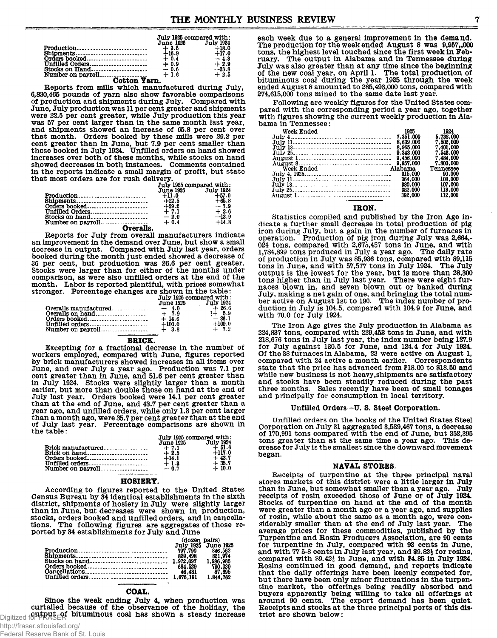|                 | July 1925 compared with: |           |  |
|-----------------|--------------------------|-----------|--|
|                 | June 1925                | July 1924 |  |
|                 | $+3.5$                   | $+18.0$   |  |
|                 | $+16.9$                  | $+17.0$   |  |
|                 | $+0.4$                   | $-4.3$    |  |
| Unfilled Orders | $+0.9$                   | $+2.9$    |  |
|                 |                          | $-33.8$   |  |
|                 |                          | $+2.5$    |  |
| Classical Trans |                          |           |  |

**Cotton Yarn. Reports from mills which manufactured during July, 6,830,465 pounds of yarn also show favorable comparisons of production and shipments during July. Compared with June, July production was 11 per cent greater and shipments were 22.5 per cent greater, while July production this year was 57 per cent larger than in the same month last year, and shipments showed an increase of 65.8 per cent over that month. Orders booked by these mills were** *29.2* **per cent greater than in June, but 7.9 per cent smaller than those booked in July 1934. Unfilled orders on hand showed increases over both of these months, while stocks on hand showed decreases in both instances. Comments contained in the reports indicate a small margin of profit, but state that most orders are for rush delivery.**

|                   | July 1925 compared with: |           |  |  |
|-------------------|--------------------------|-----------|--|--|
|                   | <b>June 1925</b>         | July 1924 |  |  |
|                   | $+11.0$                  | $+57.0$   |  |  |
| <b>Shipments</b>  | $+22.5$                  | $+65.8$   |  |  |
|                   | $+29.2$                  | $-7.9$    |  |  |
| Unfilled Orders   | $+7.1$                   | $+2.6$    |  |  |
|                   | $-2.0$                   | $-13.9$   |  |  |
| Number on payroll | $+0.4$                   | $+14.8$   |  |  |
| Overalls.         |                          |           |  |  |

**Overalls. Reports for July from overall manufacturers indicate an improvement in the demand over June, but show a small decrease in output. Compared with July last year, orders booked during the month just ended showed a decrease of 36 per cent, but production was 26.6 per cent greater. Stocks were larger than for either of the months under comparison, as were also unfilled orders at the end of the month. Labor is reported plentiful, with prices somewhat stronger. Percentage changes are shown in the table:**

|                                 | July 1925 compared with: |           |  |
|---------------------------------|--------------------------|-----------|--|
|                                 | <b>June 1925</b>         | July 1924 |  |
| $Overalls$ manufactured. $-4.0$ |                          | $+26.6$   |  |
|                                 |                          | $1 + 5.9$ |  |
| Orders booked                   | $+14.6$                  | $-36.1$   |  |
|                                 | $+100.0$                 | $+100.0$  |  |
|                                 |                          | $+ 7.2$   |  |

#### **BRICK**

**Excepting for a fractional decrease in the number of workers employed, compared with June, figures reported by brick manufacturers showed increases in all items over June, and over July a year ago. Production was 7.1 per cent greater than in June, and 51.6 per cent greater than in July 1934. Stocks were slightly larger than a month earlier, but more than double those on hand at the end of July last year. Orders booked were 14.1 per cent greater than at the end of June, and 43.7 per cent greater than a year ago, and unfilled orders, while only 1.3 per cent larger than a month ago, were 35.7 per cent greater than at the end of July last year. Percentage comparisons are shown in the table:**

|                 | July 1925 compared with: |           |  |
|-----------------|--------------------------|-----------|--|
|                 | <b>June 1925</b>         | July 1924 |  |
|                 | $+7.1$                   | - 4-51.6  |  |
|                 | $+2.5$                   | $+117.0$  |  |
|                 | $+14.1$                  | $+43.7$   |  |
| Unfilled orders | $+1.3$                   | $+35.7$   |  |
|                 |                          | $+10.0$   |  |

# **HOSIERY.**

**According to figures reported to the United States Census Bureau by 34 identical establishments in the sixth district, shipments of hosiery in July were slightly larger than in June, but decreases were shown in production, stocks, orders booked and unfilled orders, and in cancellations. The following figures are aggregates of those reported by 34 establishments for July and June**

|                                                                                                                                                                                                                                                                                                                         | (dozen pairs) |                     |  |
|-------------------------------------------------------------------------------------------------------------------------------------------------------------------------------------------------------------------------------------------------------------------------------------------------------------------------|---------------|---------------------|--|
|                                                                                                                                                                                                                                                                                                                         |               | July 1925 June 1925 |  |
| 997,790<br>797,790                                                                                                                                                                                                                                                                                                      |               | 846,562             |  |
|                                                                                                                                                                                                                                                                                                                         | 839.498       | 821.974             |  |
|                                                                                                                                                                                                                                                                                                                         |               | 1,986,985           |  |
|                                                                                                                                                                                                                                                                                                                         |               | 790.020             |  |
| $\alpha$ dependent one of $\alpha$ and $\alpha$ and $\alpha$ and $\alpha$ and $\alpha$ and $\alpha$ and $\alpha$ and $\alpha$ and $\alpha$ and $\alpha$ and $\alpha$ and $\alpha$ and $\alpha$ and $\alpha$ and $\alpha$ and $\alpha$ and $\alpha$ and $\alpha$ and $\alpha$ and $\alpha$ and $\alpha$ and $\alpha$ and |               | 87.695              |  |
|                                                                                                                                                                                                                                                                                                                         |               | 1.844.762           |  |

#### **COAL.**

**Since the week ending July 4, when production was curtailed because of the observance of the holiday, the** Digitized for **FRASER** bituminous coal has shown a steady increase

**each week due to a general improvement in the demand.** The production for the week ended August 8 was 9.957,000 **tons, the highest level touched since the first week in February. The output in Alabama and in Tennessee during July was also greater than at any time since the beginning of the new coal year, on April 1. The total production of bituminous coal during the year 1925 through the week ended August 8 amounted to 385,493,000 tons, compared with 274,615,000 tons mined to the same date last year.**

**Following are weekly figures for the United States compared with the corresponding period a year ago, together with figures showing the current weekly production in Alabama in Tennessee:**

| Week Ended | 1925      | 1924      |
|------------|-----------|-----------|
|            | 7.351.000 | 5.738.000 |
|            | 8.639.000 | 7.502.000 |
|            | 8.965.000 | 7.401.000 |
|            | 9.343.000 | 7.543.000 |
|            | 9.456.000 | 7.484.000 |
|            | 9.957.000 | 7.800.000 |
| Week Ended | Alabama   | Tennessee |
|            | 315,000   | 90.000    |
|            | 364.000   | 108.000   |
|            | 380.000   | 107.000   |
|            | 382.000   | 113.000   |
|            | 392.000   | 112.000   |
|            |           |           |

# **IRON.**

**Statistics compiled and published by the Iron Age indicate a further small decrease in total production of pig iron during July, but a gain in the number of furnaces in operation. Production of pig iron during July was 2,664,- 034 tons, compared with 3,67d,457 tons in June, and with 1,784,899 tons produced in July a year ago. The daily rate of production in July was 85,936 tons, compared with 89,115 tons in June, and with 57,577 tons in July 1934. The July output is the lowest for the year, but is more than 28,300 tons higher than in July last year. There were eight furnaces blown in, and seven blown out or banked during July, making a net gain of one, and bringing the total number active on August 1st to 190. The index number of production in July is 104.5, compared with 104.9 for June, and with 70.0 for July 1924.**

**The Iron Age gives the July production in Alabama as 234,837 tons, compared with 339,453 tons in June, and with 318,676 tons in July last year, the index number being 127.9 for July against 130.5 for June, and 124.4 for July 1924. Of the 38 furnaces in Alabama, 23 were active on August 1, compared with 34 active a month earlier. Correspondents state that the price has advanced from \$18.00 to \$18.50 and while new business is not heavy,shipments are satisfactory and stocks have been steadily reduced during the past three months. Sales recently have been of small tonages and principally for consumption in local territory.**

#### **Unfilled Orders ~U. S. Steel Corporation.**

**Unfilled orders on the books of the United States Steel Corporation on July 31 aggregated 3,539,467 tons, a decrease of 170,991 tons compared with the end of June, but 352,395 tons greater than at the same time a year ago. This decrease for July is the smallest since the downward movement began.**

#### **NAVAL STORES.**

**Receipts of turpentine at the three principal naval stores markets of this district were a little larger in July** than in June, but somewhat smaller than a year ago. **receipts of rosin exceeded those of June or of July 1924. Stocks of turpentine on hand at the end of the month were greater than a month ago or a year ago, and supplies of rosin, while about the same as a month ago, were considerably smaller than at the end of July last year. The average prices for these commodities, published by the Turpentine and Rosin Producers Association, are 90 cents for turpentine in July, compared with 92 cents in June, and with 77 5-8 cents in July last year, and \$9.82| for rosins, compared with \$9.42£ in June, and with \$4.85 in July 1924. Rosins continued in good demand, and reports indicate that the daily offerings have been keenly competed for, but there have been only minor fluctuations in the turpentine market, the offerings being readily absorbed and buyers apparently being willing to take all offerings at around 90 cents. The export demand has been quiet. Receipts and stocks at the three principal ports of this district are shown below:**